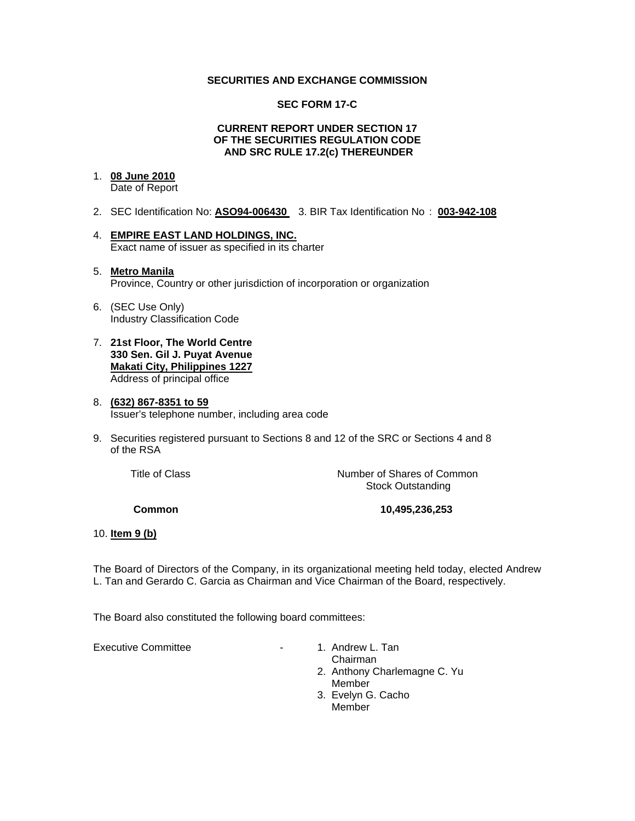#### **SECURITIES AND EXCHANGE COMMISSION**

#### **SEC FORM 17-C**

#### **CURRENT REPORT UNDER SECTION 17 OF THE SECURITIES REGULATION CODE AND SRC RULE 17.2(c) THEREUNDER**

## 1. **08 June 2010**

Date of Report

- 2. SEC Identification No: **ASO94-006430** 3. BIR Tax Identification No : **003-942-108**
- 4. **EMPIRE EAST LAND HOLDINGS, INC.** Exact name of issuer as specified in its charter

#### 5. **Metro Manila** Province, Country or other jurisdiction of incorporation or organization

- 6. (SEC Use Only) Industry Classification Code
- 7. **21st Floor, The World Centre 330 Sen. Gil J. Puyat Avenue Makati City, Philippines 1227** Address of principal office

#### 8. **(632) 867-8351 to 59** Issuer's telephone number, including area code

9. Securities registered pursuant to Sections 8 and 12 of the SRC or Sections 4 and 8 of the RSA

**Title of Class Number of Shares of Common** Stock Outstanding

 **Common 10,495,236,253** 

### 10. **Item 9 (b)**

The Board of Directors of the Company, in its organizational meeting held today, elected Andrew L. Tan and Gerardo C. Garcia as Chairman and Vice Chairman of the Board, respectively.

The Board also constituted the following board committees:

Executive Committee **All Accords** 2012 1. Andrew L. Tan

 Chairman 2. Anthony Charlemagne C. Yu Member 3. Evelyn G. Cacho Member